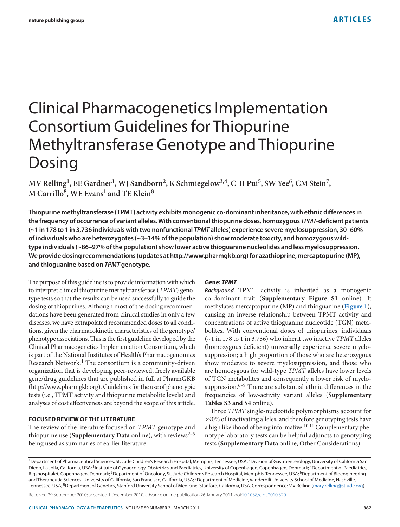# Clinical Pharmacogenetics Implementation Consortium Guidelines for Thiopurine Methyltransferase Genotype and Thiopurine Dosing

MV Relling<sup>1</sup>, EE Gardner<sup>1</sup>, WJ Sandborn<sup>2</sup>, K Schmiegelow<sup>3,4</sup>, C-H Pui<sup>5</sup>, SW Yee<sup>6</sup>, CM Stein<sup>7</sup>, **M Carrillo8, WE Evans1 and TE Klein8**

**Thiopurine methyltransferase (TPMT) activity exhibits monogenic co-dominant inheritance, with ethnic differences in the frequency of occurrence of variant alleles. With conventional thiopurine doses, homozygous** *TPMT-***deficient patients (~1 in 178 to 1 in 3,736 individuals with two nonfunctional** *TPMT* **alleles) experience severe myelosuppression, 30–60% of individuals who are heterozygotes (~3–14% of the population) show moderate toxicity, and homozygous wildtype individuals (~86–97% of the population) show lower active thioguanine nucleolides and less myelosuppression. We provide dosing recommendations (updates at http://www.pharmgkb.org) for azathioprine, mercaptopurine (MP), and thioguanine based on** *TPMT* **genotype.**

The purpose of this guideline is to provide information with which to interpret clinical thiopurine methyltransferase (*TPMT*) genotype tests so that the results can be used successfully to guide the dosing of thiopurines. Although most of the dosing recommendations have been generated from clinical studies in only a few diseases, we have extrapolated recommended doses to all conditions, given the pharmacokinetic characteristics of the genotype/ phenotype associations. This is the first guideline developed by the Clinical Pharmacogenetics Implementation Consortium, which is part of the National Institutes of Health's Pharmacogenomics Research Network.<sup>1</sup> The consortium is a community-driven organization that is developing peer-reviewed, freely available gene/drug guidelines that are published in full at PharmGKB (http://www.pharmgkb.org). Guidelines for the use of phenotypic tests (i.e., TPMT activity and thiopurine metabolite levels) and analyses of cost effectiveness are beyond the scope of this article.

# **Focused Review of the Literature**

The review of the literature focused on *TPMT* genotype and thiopurine use (**Supplementary Data** online), with reviews<sup>2-5</sup> being used as summaries of earlier literature.

#### **Gene:** *TPMT*

*Background.* TPMT activity is inherited as a monogenic co-dominant trait (**Supplementary Figure S1** online). It methylates mercaptopurine (MP) and thioguanine (**[Figure](#page-1-0) 1**), causing an inverse relationship between TPMT activity and concentrations of active thioguanine nucleotide (TGN) metabolites. With conventional doses of thiopurines, individuals (~1 in 178 to 1 in 3,736) who inherit two inactive *TPMT* alleles (homozygous deficient) universally experience severe myelosuppression; a high proportion of those who are heterozygous show moderate to severe myelosuppression, and those who are homozygous for wild-type *TPMT* alleles have lower levels of TGN metabolites and consequently a lower risk of myelosuppression. $6-9$  There are substantial ethnic differences in the frequencies of low-activity variant alleles (**Supplementary Tables S3 and S4** online).

Three *TPMT* single-nucleotide polymorphisms account for >90% of inactivating alleles, and therefore genotyping tests have a high likelihood of being informative.<sup>10,11</sup> Complementary phenotype laboratory tests can be helpful adjuncts to genotyping tests (**Supplementary Data** online, Other Considerations).

Received 29 September 2010; accepted 1 December 2010; advance online publication 26 January 2011. doi[:10.1038/clpt.2010.320](http://www.nature.com/doifinder/10.1038/clpt.2010.320)

<sup>&</sup>lt;sup>1</sup>Department of Pharmaceutical Sciences, St. Jude Children's Research Hospital, Memphis, Tennessee, USA; <sup>2</sup>Division of Gastroenterology, University of California San Diego, La Jolla, California, USA; <sup>3</sup>Institute of Gynaecology, Obstetrics and Paediatrics, University of Copenhagen, Copenhagen, Denmark; <sup>4</sup>Department of Paediatrics, Rigshospitalet, Copenhagen, Denmark; <sup>5</sup>Department of Oncology, St. Jude Children's Research Hospital, Memphis, Tennessee, USA; <sup>6</sup>Department of Bioengineering and Therapeutic Sciences, University of California, San Francisco, California, USA; 7Department of Medicine, Vanderbilt University School of Medicine, Nashville, Tennessee, USA; <sup>8</sup>Department of Genetics, Stanford University School of Medicine, Stanford, California, USA. Correspondence: MV Relling [\(mary.relling@stjude.org\)](mailto:mary.relling@stjude.org)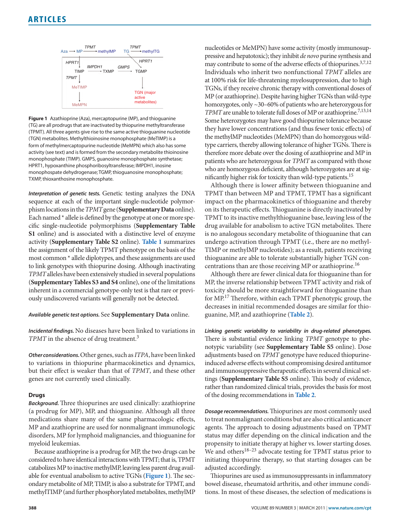<span id="page-1-0"></span>

**Figure 1** Azathioprine (Aza), mercaptopurine (MP), and thioguanine (TG) are all prodrugs that are inactivated by thiopurine methyltransferase (TPMT). All three agents give rise to the same active thioguanine nucleotide (TGN) metabolites. Methylthioinosine monophosphate (MeTIMP) is a form of methylmercaptopurine nucleotide (MeMPN) which also has some activity (see text) and is formed from the secondary metabolite thioinosine monophosphate (TIMP). GMPS, guanosine monophosphate synthetase; HPRT1, hypoxanthine phosphoribosyltransferase; IMPDH1, inosine monophospate dehydrogenase; TGMP, thioguanosine monophosphate; TXMP, thioxanthosine monophosphate.

*Interpretation of genetic tests.* Genetic testing analyzes the DNA sequence at each of the important single-nucleotide polymorphism locations in the *TPMT* gene (**Supplementary Data** online). Each named \* allele is defined by the genotype at one or more specific single-nucleotide polymorphisms (**Supplementary Table S1** online) and is associated with a distinctive level of enzyme activity (**Supplementary Table S2** online). **[Table](#page-2-0) 1** summarizes the assignment of the likely TPMT phenotype on the basis of the most common \* allele diplotypes, and these assignments are used to link genotypes with thiopurine dosing. Although inactivating *TPMT* alleles have been extensively studied in several populations (**Supplementary Tables S3 and S4** online), one of the limitations inherent in a commercial genotype-only test is that rare or previously undiscovered variants will generally not be detected.

## *Available genetic test options.* See **Supplementary Data** online.

*Incidental findings.* No diseases have been linked to variations in *TPMT* in the absence of drug treatment.<sup>3</sup>

*Other considerations.* Other genes, such as *ITPA*, have been linked to variations in thiopurine pharmacokinetics and dynamics, but their effect is weaker than that of *TPMT*, and these other genes are not currently used clinically.

# **Drugs**

*Background.* Three thiopurines are used clinically: azathioprine (a prodrug for MP), MP, and thioguanine. Although all three medications share many of the same pharmacologic effects, MP and azathioprine are used for nonmalignant immunologic disorders, MP for lymphoid malignancies, and thioguanine for myeloid leukemias.

Because azathioprine is a prodrug for MP, the two drugs can be considered to have identical interactions with TPMT; that is, TPMT catabolizes MP to inactive methylMP, leaving less parent drug available for eventual anabolism to active TGNs (**Figure 1**). The secondary metabolite of MP, TIMP, is also a substrate for TPMT, and methylTIMP (and further phosphorylated metabolites, methylMP

nucleotides or MeMPN) have some activity (mostly immunosuppressive and hepatotoxic); they inhibit *de novo* purine synthesis and may contribute to some of the adverse effects of thiopurines.3,7,12 Individuals who inherit two nonfunctional *TPMT* alleles are at 100% risk for life-threatening myelosuppression, due to high TGNs, if they receive chronic therapy with conventional doses of MP (or azathioprine). Despite having higher TGNs than wild-type homozygotes, only ~30–60% of patients who are heterozygous for *TPMT* are unable to tolerate full doses of MP or azathioprine.<sup>7,13,14</sup> Some heterozygotes may have good thiopurine tolerance because they have lower concentrations (and thus fewer toxic effects) of the methylMP nucleotides (MeMPN) than do homozygous wildtype carriers, thereby allowing tolerance of higher TGNs. There is therefore more debate over the dosing of azathioprine and MP in patients who are heterozygous for *TPMT* as compared with those who are homozygous deficient, although heterozygotes are at significantly higher risk for toxicity than wild-type patients.<sup>15</sup>

Although there is lower affinity between thioguanine and TPMT than between MP and TPMT, TPMT has a significant impact on the pharmacokinetics of thioguanine and thereby on its therapeutic effects. Thioguanine is directly inactivated by TPMT to its inactive methylthioguanine base, leaving less of the drug available for anabolism to active TGN metabolites. There is no analogous secondary metabolite of thioguanine that can undergo activation through TPMT (i.e., there are no methyl-TIMP or methylMP nucleotides); as a result, patients receiving thioguanine are able to tolerate substantially higher TGN concentrations than are those receiving MP or azathioprine.<sup>16</sup>

Although there are fewer clinical data for thioguanine than for MP, the inverse relationship between TPMT activity and risk of toxicity should be more straightforward for thioguanine than for MP.17 Therefore, within each TPMT phenotypic group, the decreases in initial recommended dosages are similar for thioguanine, MP, and azathioprine (**[Table](#page-3-0) 2**).

*Linking genetic variability to variability in drug-related phenotypes.*  There is substantial evidence linking *TPMT* genotype to phenotypic variability (see **Supplementary Table S5** online). Dose adjustments based on *TPMT* genotype have reduced thiopurineinduced adverse effects without compromising desired antitumor and immunosuppressive therapeutic effects in several clinical settings (**Supplementary Table S5** online). This body of evidence, rather than randomized clinical trials, provides the basis for most of the dosing recommendations in **[Table](#page-3-0) 2**.

*Dosage recommendations.* Thiopurines are most commonly used to treat nonmalignant conditions but are also critical anticancer agents. The approach to dosing adjustments based on TPMT status may differ depending on the clinical indication and the propensity to initiate therapy at higher vs. lower starting doses. We and others $18-23$  advocate testing for TPMT status prior to initiating thiopurine therapy, so that starting dosages can be adjusted accordingly.

Thiopurines are used as immunosuppressants in inflammatory bowel disease, rheumatoid arthritis, and other immune conditions. In most of these diseases, the selection of medications is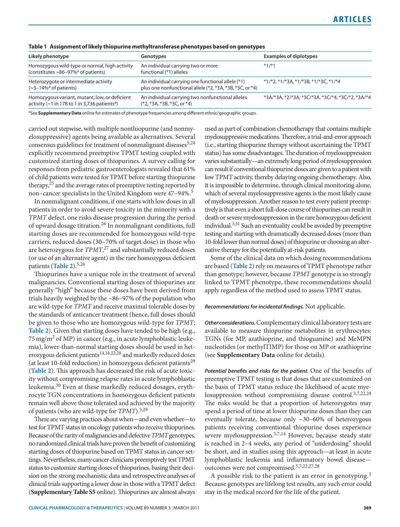| Likely phenotype                                                                                                  | Genotypes                                                                                                     | <b>Examples of diplotypes</b>                    |
|-------------------------------------------------------------------------------------------------------------------|---------------------------------------------------------------------------------------------------------------|--------------------------------------------------|
| Homozygous wild-type or normal, high activity<br>(constitutes ~86–97% <sup>a</sup> of patients)                   | An individual carrying two or more<br>functional (*1) alleles                                                 | $*1/*1$                                          |
| Heterozygote or intermediate activity<br>$(\sim$ 3–14% <sup>a</sup> of patients)                                  | An individual carrying one functional allele (*1)<br>plus one nonfunctional allele (*2, *3A, *3B, *3C, or *4) | *1/*2, *1/*3A, *1/*3B, *1/*3C, *1/*4             |
| Homozygous variant, mutant, low, or deficient<br>activity ( $\sim$ 1 in 178 to 1 in 3,736 patients <sup>a</sup> ) | An individual carrying two nonfunctional alleles<br>$(*2, *3A, *3B, *3C, or *4)$                              | *3A/*3A, *2/*3A, *3C/*3A, *3C/*4, *3C/*2, *3A/*4 |

<span id="page-2-0"></span>**Table 1 Assignment of likely thiopurine methyltransferase phenotypes based on genotypes**

aSee **Supplementary Data** online for estimates of phenotype frequencies among different ethnic/geographic groups.

carried out stepwise, with multiple nonthiopurine (and nonmyelosuppressive) agents being available as alternatives. Several consensus guidelines for treatment of nonmalignant diseases $5,24$ explicitly recommend preemptive TPMT testing coupled with customized starting doses of thiopurines. A survey calling for responses from pediatric gastroenterologists revealed that 61% of child patients were tested for TPMT before starting thiopurine therapy,25 and the average rates of preemptive testing reported by non–cancer specialists in the United Kingdom were 47–94%.<sup>5</sup>

In nonmalignant conditions, if one starts with low doses in all patients in order to avoid severe toxicity in the minority with a *TPMT* defect, one risks disease progression during the period of upward dosage titration.26 In nonmalignant conditions, full starting doses are recommended for homozygous wild-type carriers, reduced doses (30–70% of target dose) in those who are heterozygous for *TPMT*, 27 and substantially reduced doses (or use of an alternative agent) in the rare homozygous deficient patients (**[Table](#page-3-0) 2**).5,26

Thiopurines have a unique role in the treatment of several malignancies. Conventional starting doses of thiopurines are generally "high" because these doses have been derived from trials heavily weighted by the ~86–97% of the population who are wild-type for *TPMT* and receive maximal tolerable doses by the standards of anticancer treatment (hence, full doses should be given to those who are homozygous wild-type for *TPMT*; **[Table](#page-3-0) 2**). Given that starting doses have tended to be high (e.g.,  $75 \,\text{mg/m}^2$  of MP) in cancer (e.g., in acute lymphoblastic leukemia), lower-than-normal starting doses should be used in heterozygous deficient patients<sup>14,16,22,28</sup> and markedly reduced doses (at least 10-fold reduction) in homozygous deficient patients<sup>29</sup> (**[Table](#page-3-0) 2**). This approach has decreased the risk of acute toxicity without compromising relapse rates in acute lymphoblastic leukemia.30 Even at these markedly reduced dosages, erythrocyte TGN concentrations in homozygous deficient patients remain well above those tolerated and achieved by the majority of patients (who are wild-type for *TPMT*).5,29

There are varying practices about when—and even whether—to test for TPMT status in oncology patients who receive thiopurines. Because of the rarity of malignancies and defective *TPMT* genotypes, no randomized clinical trials have proven the benefit of customizing starting doses of thiopurine based on TPMT status in cancer settings. Nevertheless, many cancer clinicians preemptively test TPMT status to customize starting doses of thiopurines, basing their decision on the strong mechanistic data and retrospective analyses of clinical trials supporting a lower dose in those with a TPMT defect (**Supplementary Table S5** online). Thiopurines are almost always used as part of combination chemotherapy that contains multiple myelosuppressive medications. Therefore, a trial-and-error approach (i.e., starting thiopurine therapy without ascertaining the TPMT status) has some disadvantages. The duration of myelosuppression varies substantially—an extremely long period of myelosuppression can result if conventional thiopurine doses are given to a patient with low TPMT activity, thereby delaying ongoing chemotherapy. Also, it is impossible to determine, through clinical monitoring alone, which of several myelosuppressive agents is the most likely cause of myelosuppression. Another reason to test every patient preemptively is that even a short full-dose course of thiopurines can result in death or severe myelosuppression in the rare homozygous deficient individual.3,31 Such an eventuality could be avoided by preemptive testing and starting with dramatically decreased doses (more than 10-fold lower than normal doses) of thiopurine or choosing an alternative therapy for the potentially at-risk patients.

Some of the clinical data on which dosing recommendations are based (**[Table](#page-3-0) 2**) rely on measures of TPMT phenotype rather than genotype; however, because *TPMT* genotype is so strongly linked to TPMT phenotype, these recommendations should apply regardless of the method used to assess TPMT status.

## *Recommendations for incidental findings.* Not applicable.

*Other considerations.* Complementary clinical laboratory tests are available to measure thiopurine metabolites in erythrocytes: TGNs (for MP, azathioprine, and thioguanine) and MeMPN nucleotides (or methylTIMP) for those on MP or azathioprine (see **Supplementary Data** online for details).

*Potential benefits and risks for the patient.* One of the benefits of preemptive TPMT testing is that doses that are customized on the basis of TPMT status reduce the likelihood of acute myelosuppression without compromising disease control.5,7,22,28 The risks would be that a proportion of heterozygotes may spend a period of time at lower thiopurine doses than they can eventually tolerate, because only  $~100-60\%$  of heterozygous patients receiving conventional thiopurine doses experience severe myelosuppression.<sup>5,7,14</sup> However, because steady state is reached in 2–4 weeks, any period of "underdosing" should be short, and in studies using this approach—at least in acute lymphoblastic leukemia and inflammatory bowel disease outcomes were not compromised.5,7,22,27,28

A possible risk to the patient is an error in genotyping.<sup>5</sup> Because genotypes are lifelong test results, any such error could stay in the medical record for the life of the patient.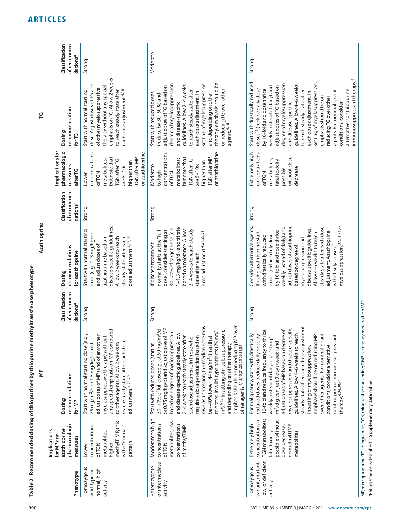<span id="page-3-0"></span>

|                                                                 |                                                                                                                                                 | ξ                                                                                                                                                                                                                                                                                                                                                                                                                                                                                                                                                                                                                                                                                                    |                                            | Azathioprine                                                                                                                                                                                                                                                                                                                                                                                                                                                  |                                           |                                                                                                                                                                 | ئ∣                                                                                                                                                                                                                                                                                                                                                                                                                                                                                                                                   |                                            |
|-----------------------------------------------------------------|-------------------------------------------------------------------------------------------------------------------------------------------------|------------------------------------------------------------------------------------------------------------------------------------------------------------------------------------------------------------------------------------------------------------------------------------------------------------------------------------------------------------------------------------------------------------------------------------------------------------------------------------------------------------------------------------------------------------------------------------------------------------------------------------------------------------------------------------------------------|--------------------------------------------|---------------------------------------------------------------------------------------------------------------------------------------------------------------------------------------------------------------------------------------------------------------------------------------------------------------------------------------------------------------------------------------------------------------------------------------------------------------|-------------------------------------------|-----------------------------------------------------------------------------------------------------------------------------------------------------------------|--------------------------------------------------------------------------------------------------------------------------------------------------------------------------------------------------------------------------------------------------------------------------------------------------------------------------------------------------------------------------------------------------------------------------------------------------------------------------------------------------------------------------------------|--------------------------------------------|
| Phenotype                                                       | pharmacologic<br>azathioprine<br>Implications<br>for MP and<br>measures                                                                         | recommendations<br>Dosing<br>for MP                                                                                                                                                                                                                                                                                                                                                                                                                                                                                                                                                                                                                                                                  | of recommen-<br>Classification<br>dationsª | recommendations<br>for azathioprine<br>Dosing                                                                                                                                                                                                                                                                                                                                                                                                                 | ofrecommen-<br>Classification<br>dationsª | Implications for<br>pharmacologic<br>measures<br>afterTG                                                                                                        | recommendations<br>Dosing<br>for TG                                                                                                                                                                                                                                                                                                                                                                                                                                                                                                  | of recommen-<br>Classification<br>dationsª |
| Homozygous<br>normal, high<br>wild-type or<br>activity          | methylTIMP, this<br>concentrations<br>is the "normal"<br>metabolites,<br>pattern<br>ofTGN<br>higher<br>Lower                                    | any special emphasis on MP compared<br>adjust doses of MP (and of any other<br>ېق<br>myelosuppressive therapy) without<br>reach steady state after each dose<br>Start with normal starting dose (e<br>to other agents. Allow 2 weeks to<br>75 mg/m <sup>2</sup> /d or 1.5 mg/kg/d) and<br>adjustment. <sup>4,25,29</sup>                                                                                                                                                                                                                                                                                                                                                                             | Strong                                     | disease-specific guidelines.<br>Start with normal starting<br>dose (e.g., 2-3 mg/kg/d)<br>Allow 2 weeks to reach<br>dose adjustment. <sup>4,27,29</sup><br>azathioprine based on<br>steady state after each<br>and adjust doses of                                                                                                                                                                                                                            | Strong                                    | or azathioprine<br>concentrations<br>but note that<br>TGN after MP<br>TGN after TG<br>metabolites,<br>higherthan<br>are $5-10x$<br>ofTGN<br>Lower               | emphasis on TG. Allow 2 weeks<br>dose. Adjust doses of TG and<br>therapy without any special<br>of other myelosuppressive<br>each dose adjustment. <sup>4,16</sup><br>Start with normal starting<br>to reach steady state after                                                                                                                                                                                                                                                                                                      | Strong                                     |
| or intermediate<br>Heterozygote<br>activity                     | Moderate to high<br>metabolites; low<br>concentrations<br>concentrations<br>of methylTIMP<br>of <sub>TGN</sub>                                  | myelosuppression, the median dose may<br>emphasis should be on reducing MP over<br>other agents. <sup>4, 13, 15, 21, 23, 25, 29, 31, 32</sup><br>or 0.75 mg/kg/d) and adjust doses of MP<br>30-70% of full dose: e.g., at 50 mg/m <sup>2</sup> /d<br>m <sup>2</sup> ). <sup>6,12</sup> In setting of myelosuppression,<br>based on degree of myelosuppression<br>tolerated in wild-type patients (75 mg/<br>and disease-specific guidelines. Allow<br>be ~40% lower (44 mg/m <sup>2</sup> ) than that<br>require a dosage reduction based on<br>2-4 weeks to reach steady state after<br>each dose adjustment. In those who<br>and depending on other therapy,<br>Start with reduced doses (start at | Strong                                     | 30-70% of target dose (e.g.,<br>1-1.5 mg/kg/d), and titrate<br>2-4 weeks to reach steady<br>based on tolerance. Allow<br>dose", consider starting at<br>normally starts at the"full<br>dose adjustment. <sup>4,27,29,31</sup><br>If disease treatment<br>state after each                                                                                                                                                                                     | Strong                                    | or azathioprine<br>concentrations<br>TGN after MP<br>but note that<br>TGN after TG<br>metabolites;<br>higherthan<br>are $5-10x$<br>Moderate<br>to high<br>ofTGN | setting of myelosuppression,<br>therapy, emphasis should be<br>degree of myelosuppression<br>guidelines. Allow 2-4 weeks<br>adjust doses of TG based on<br>on reducing TG over other<br>to reach steady state after<br>each dose adjustment. In<br>Start with reduced doses<br>and depending on other<br>(reduce by 30-50%) and<br>and disease-specific<br>agents. <sup>4,16</sup>                                                                                                                                                   | Moderate                                   |
| low, or deficient<br>variant, mutant,<br>Homozygous<br>activity | concentrations of<br>TGN metabolites;<br>possible without<br>no methylTIMP<br>Extremely high<br>dose decrease;<br>fatal toxicity<br>metabolites | steady state after each dose adjustment.<br>myelosuppression and disease-specific<br>10-fold and reduce frequency to thrice<br>adjust doses of MP based on degree of<br>guidelines. Allow 4-6 weeks to reach<br>over other agents. For nonmalignant<br>For malignancy, start with drastically<br>$\overline{\mathbb{R}}$<br>reduced doses (reduce daily dose by<br>nonthiopurine immunosuppressant<br>weekly instead of daily, e.g., 10 mg/<br>m <sup>2</sup> /d given just 3 days/week) and<br>emphasis should be on reducing<br>conditions, consider alternative<br>In setting of myelosuppression,<br>therapy. <sup>4,24,29,31</sup>                                                              | Strong                                     | myelosuppression. <sup>27,29-31,33</sup><br>adjust doses of azathioprine<br>steady state after each dose<br>Consider alternative agents.<br>weekly instead of daily) and<br>disease-specific guidelines.<br>by 10-fold and dose thrice<br>adjustment. Azathioprine<br>If using azathioprine start<br>Allow 4-6 weeks to reach<br>doses (reduce daily dose<br>with drastically reduced<br>myelosuppression and<br>is the likely cause of<br>based on degree of | Strong                                    | Extremely high<br>concentrations<br>without dose<br>metabolites;<br>fatal toxicity<br>decrease<br>possible<br>ofTGN                                             | immunosuppressant therapy. <sup>4</sup><br>Start with drastically reduced<br>setting of myelosuppression,<br>degree of myelosuppression<br>guidelines. Allow 4-6 weeks<br>weekly instead of daily) and<br>adjust doses of TG based on<br>doses <sup>16</sup> (reduce daily dose<br>by 10-fold and dose thrice<br>alternative nonthiopurine<br>agents. For nonmalignant<br>to reach steady state after<br>each dose adjustment. In<br>emphasis should be on<br>reducing TG over other<br>conditions, consider<br>and disease-specific | Strong                                     |
|                                                                 |                                                                                                                                                 | MP, mercaptopurine; TG, thioguanine; TGN, thioguanine nucleotide; TIMP, secondary metabolite of MP.                                                                                                                                                                                                                                                                                                                                                                                                                                                                                                                                                                                                  |                                            |                                                                                                                                                                                                                                                                                                                                                                                                                                                               |                                           |                                                                                                                                                                 |                                                                                                                                                                                                                                                                                                                                                                                                                                                                                                                                      |                                            |

**Table 2 Recommended dosing of thiopurines by thiopurine methyltransferase phenotype**

Table 2 Recommended dosing of thiopurines by thiopurine methyltransferase phenotype

aRating scheme is described in **Supplementary Data** online.

<sup>a</sup>Rating scheme is described in Supplementary Data online.